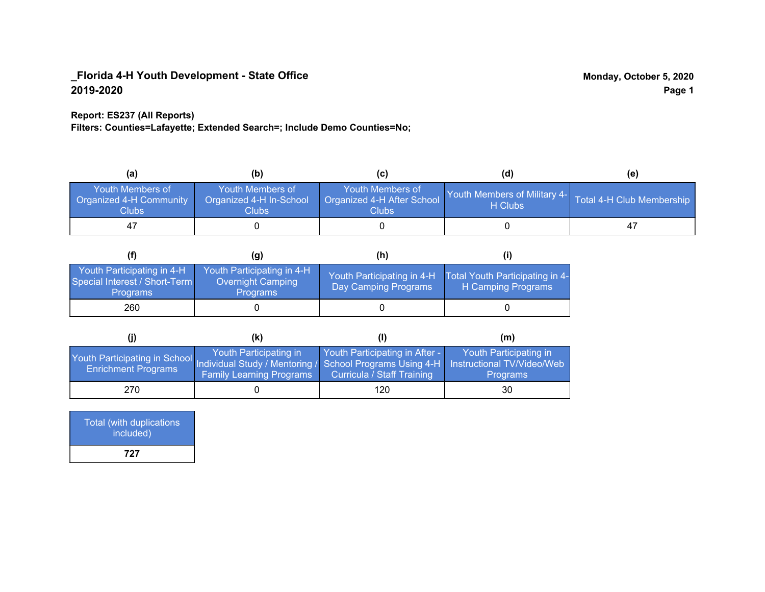#### **Report: ES237 (All Reports)**

**Filters: Counties=Lafayette; Extended Search=; Include Demo Counties=No;**

| (a)                                                         | (b)                                                  |                                                           | (d)                                                               | (e) |
|-------------------------------------------------------------|------------------------------------------------------|-----------------------------------------------------------|-------------------------------------------------------------------|-----|
| <b>Youth Members of</b><br>Organized 4-H Community<br>Clubs | Youth Members of<br>Organized 4-H In-School<br>Clubs | Youth Members of<br>Organized 4-H After School<br>Clubs : | Youth Members of Military 4- Total 4-H Club Membership<br>H Clubs |     |
| 47                                                          |                                                      |                                                           |                                                                   | 47  |

|                                                                                | (g)                                                                | (h)                                                |                                                       |
|--------------------------------------------------------------------------------|--------------------------------------------------------------------|----------------------------------------------------|-------------------------------------------------------|
| Youth Participating in 4-H<br>Special Interest / Short-Term<br><b>Programs</b> | Youth Participating in 4-H<br>Overnight Camping<br><b>Programs</b> | Youth Participating in 4-H<br>Day Camping Programs | Total Youth Participating in 4-<br>H Camping Programs |
| 260                                                                            |                                                                    |                                                    |                                                       |

|                                                                                                                                                 | (k)                                                       |                                                                     | (m)                                       |
|-------------------------------------------------------------------------------------------------------------------------------------------------|-----------------------------------------------------------|---------------------------------------------------------------------|-------------------------------------------|
| Youth Participating in School Individual Study / Mentoring / School Programs Using 4-H Instructional TV/Video/Web<br><b>Enrichment Programs</b> | Youth Participating in<br><b>Family Learning Programs</b> | Youth Participating in After -<br><b>Curricula / Staff Training</b> | Youth Participating in<br><b>Programs</b> |
| 270                                                                                                                                             |                                                           | 120                                                                 | 30                                        |

| Total (with duplications<br>included) |
|---------------------------------------|
| 727                                   |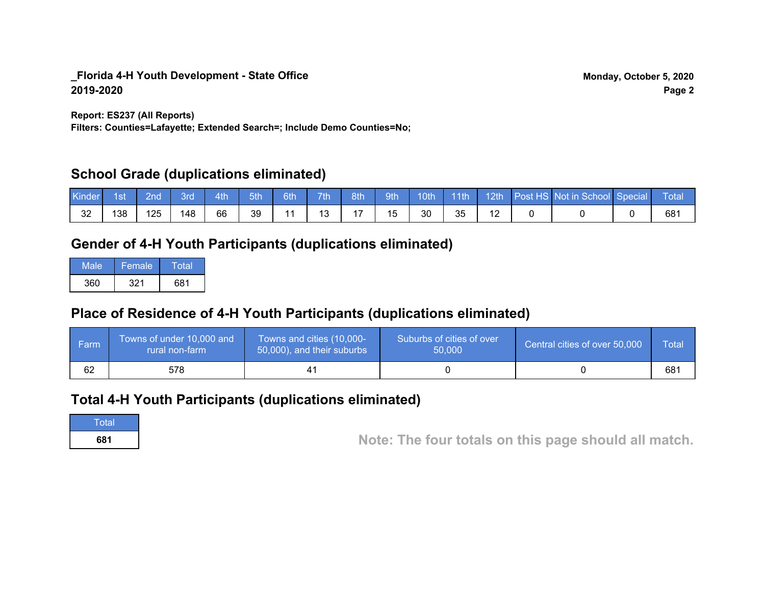**Report: ES237 (All Reports)**

**Filters: Counties=Lafayette; Extended Search=; Include Demo Counties=No;**

## **School Grade (duplications eliminated)**

| Kinder | 1st | 2nd | Brd | 4th | 5th | 6th | 7th | 8th | <b>9th</b> | 10th | $\vert$ 11th | $-12th$ | Post HS Not in School Special | Total |
|--------|-----|-----|-----|-----|-----|-----|-----|-----|------------|------|--------------|---------|-------------------------------|-------|
| 32     | 138 | 125 | 148 | 66  | 39  |     | 10  |     | 15         | 30   | 35           | -       |                               | 681   |

# **Gender of 4-H Youth Participants (duplications eliminated)**

| Male | Female | Total |
|------|--------|-------|
| 360  | 321    | 681   |

# **Place of Residence of 4-H Youth Participants (duplications eliminated)**

| l Farmi | Towns of under 10,000 and<br>rural non-farm | Towns and cities (10,000-<br>50,000), and their suburbs | Suburbs of cities of over<br>50,000 | Central cities of over 50,000 | Total |
|---------|---------------------------------------------|---------------------------------------------------------|-------------------------------------|-------------------------------|-------|
| 62      | 578                                         |                                                         |                                     |                               | 681   |

## **Total 4-H Youth Participants (duplications eliminated)**

**Total** 

**<sup>681</sup> Note: The four totals on this page should all match.**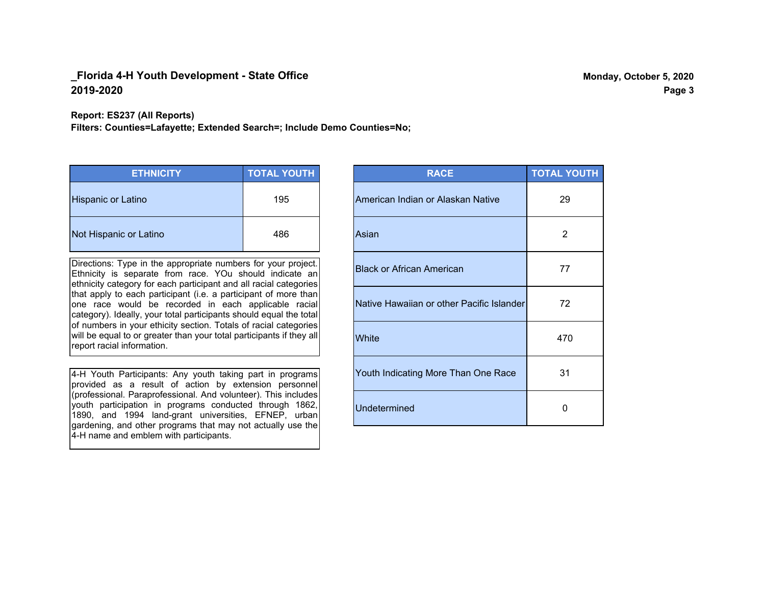**Report: ES237 (All Reports)**

**Filters: Counties=Lafayette; Extended Search=; Include Demo Counties=No;**

| <b>ETHNICITY</b>       | <b>TOTAL YOUTH</b> |
|------------------------|--------------------|
| Hispanic or Latino     | 195                |
| Not Hispanic or Latino | 486                |

Directions: Type in the appropriate numbers for your project. Ethnicity is separate from race. YOu should indicate an ethnicity category for each participant and all racial categories that apply to each participant (i.e. a participant of more than one race would be recorded in each applicable racial category). Ideally, your total participants should equal the total of numbers in your ethicity section. Totals of racial categories will be equal to or greater than your total participants if they all report racial information.

4-H Youth Participants: Any youth taking part in programs provided as a result of action by extension personnel (professional. Paraprofessional. And volunteer). This includes youth participation in programs conducted through 1862, 1890, and 1994 land-grant universities, EFNEP, urban gardening, and other programs that may not actually use the 4-H name and emblem with participants.

| <b>RACE</b>                               | <b>TOTAL YOUTH</b> |
|-------------------------------------------|--------------------|
| American Indian or Alaskan Native         | 29                 |
| Asian                                     | 2                  |
| <b>Black or African American</b>          | 77                 |
| Native Hawaiian or other Pacific Islander | 72                 |
| White                                     | 470                |
| Youth Indicating More Than One Race       | 31                 |
| <b>Undetermined</b>                       | ŋ                  |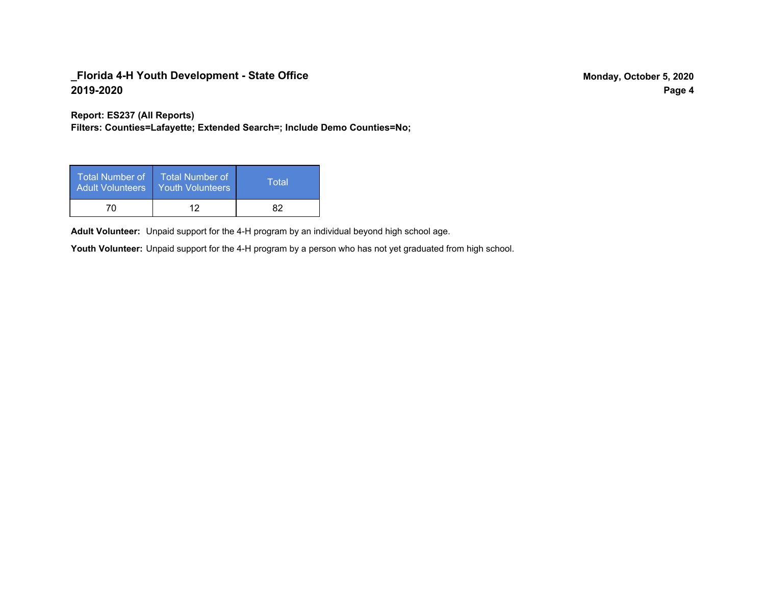**Report: ES237 (All Reports)**

**Filters: Counties=Lafayette; Extended Search=; Include Demo Counties=No;**

| Total Number of<br><b>Adult Volunteers</b> | <b>Total Number of</b><br><b>Youth Volunteers</b> | Total |
|--------------------------------------------|---------------------------------------------------|-------|
| 70                                         | ィク                                                | R7    |

Adult Volunteer: Unpaid support for the 4-H program by an individual beyond high school age.

Youth Volunteer: Unpaid support for the 4-H program by a person who has not yet graduated from high school.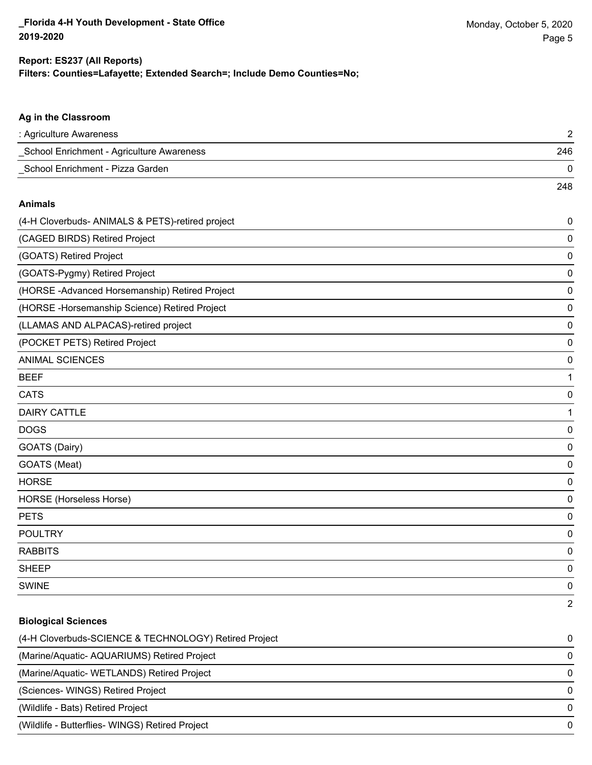248

### **Filters: Counties=Lafayette; Extended Search=; Include Demo Counties=No; Report: ES237 (All Reports)**

#### **Ag in the Classroom**

| : Agriculture Awareness                   |     |
|-------------------------------------------|-----|
| School Enrichment - Agriculture Awareness | 246 |
| School Enrichment - Pizza Garden          |     |

#### **Animals**

| (4-H Cloverbuds- ANIMALS & PETS)-retired project | 0 |
|--------------------------------------------------|---|
| (CAGED BIRDS) Retired Project                    | 0 |
| (GOATS) Retired Project                          | 0 |
| (GOATS-Pygmy) Retired Project                    | 0 |
| (HORSE-Advanced Horsemanship) Retired Project    | 0 |
| (HORSE-Horsemanship Science) Retired Project     | 0 |
| (LLAMAS AND ALPACAS)-retired project             | 0 |
| (POCKET PETS) Retired Project                    | 0 |
| <b>ANIMAL SCIENCES</b>                           | 0 |
| <b>BEEF</b>                                      | 1 |
| <b>CATS</b>                                      | 0 |
| <b>DAIRY CATTLE</b>                              | 1 |
| <b>DOGS</b>                                      | 0 |
| GOATS (Dairy)                                    | 0 |
| GOATS (Meat)                                     | 0 |
| <b>HORSE</b>                                     | 0 |
| HORSE (Horseless Horse)                          | 0 |
| <b>PETS</b>                                      | 0 |
| <b>POULTRY</b>                                   | 0 |
| <b>RABBITS</b>                                   | 0 |
| <b>SHEEP</b>                                     | 0 |
| <b>SWINE</b>                                     | 0 |
|                                                  | 2 |

#### **Biological Sciences**

| (4-H Cloverbuds-SCIENCE & TECHNOLOGY) Retired Project | 0            |
|-------------------------------------------------------|--------------|
| (Marine/Aquatic-AQUARIUMS) Retired Project            | 0            |
| (Marine/Aquatic- WETLANDS) Retired Project            | <sup>0</sup> |
| (Sciences- WINGS) Retired Project                     |              |
| (Wildlife - Bats) Retired Project                     | <sup>0</sup> |
| (Wildlife - Butterflies- WINGS) Retired Project       | <sup>0</sup> |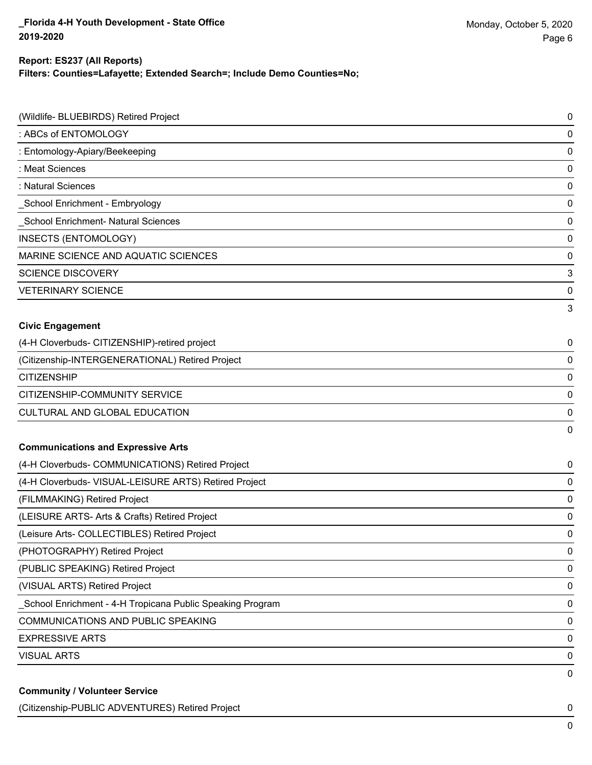#### **Filters: Counties=Lafayette; Extended Search=; Include Demo Counties=No; Report: ES237 (All Reports)**

| (Wildlife- BLUEBIRDS) Retired Project                     | 0 |
|-----------------------------------------------------------|---|
| : ABCs of ENTOMOLOGY                                      | 0 |
| : Entomology-Apiary/Beekeeping                            | 0 |
| : Meat Sciences                                           | 0 |
| : Natural Sciences                                        | 0 |
| School Enrichment - Embryology                            | 0 |
| <b>School Enrichment- Natural Sciences</b>                | 0 |
| INSECTS (ENTOMOLOGY)                                      | 0 |
| MARINE SCIENCE AND AQUATIC SCIENCES                       | 0 |
| <b>SCIENCE DISCOVERY</b>                                  | 3 |
| <b>VETERINARY SCIENCE</b>                                 | 0 |
|                                                           | 3 |
| <b>Civic Engagement</b>                                   |   |
| (4-H Cloverbuds- CITIZENSHIP)-retired project             | 0 |
| (Citizenship-INTERGENERATIONAL) Retired Project           | 0 |
| <b>CITIZENSHIP</b>                                        | 0 |
| CITIZENSHIP-COMMUNITY SERVICE                             | 0 |
| CULTURAL AND GLOBAL EDUCATION                             | 0 |
|                                                           | 0 |
| <b>Communications and Expressive Arts</b>                 |   |
| (4-H Cloverbuds- COMMUNICATIONS) Retired Project          | 0 |
| (4-H Cloverbuds- VISUAL-LEISURE ARTS) Retired Project     | 0 |
| (FILMMAKING) Retired Project                              | 0 |
| (LEISURE ARTS- Arts & Crafts) Retired Project             | 0 |
| (Leisure Arts- COLLECTIBLES) Retired Project              | 0 |
| (PHOTOGRAPHY) Retired Project                             | 0 |
| (PUBLIC SPEAKING) Retired Project                         | 0 |
| (VISUAL ARTS) Retired Project                             | 0 |
| School Enrichment - 4-H Tropicana Public Speaking Program | 0 |
| COMMUNICATIONS AND PUBLIC SPEAKING                        | 0 |
| <b>EXPRESSIVE ARTS</b>                                    | 0 |
| <b>VISUAL ARTS</b>                                        | 0 |
|                                                           | 0 |
| <b>Community / Volunteer Service</b>                      |   |

(Citizenship-PUBLIC ADVENTURES) Retired Project 0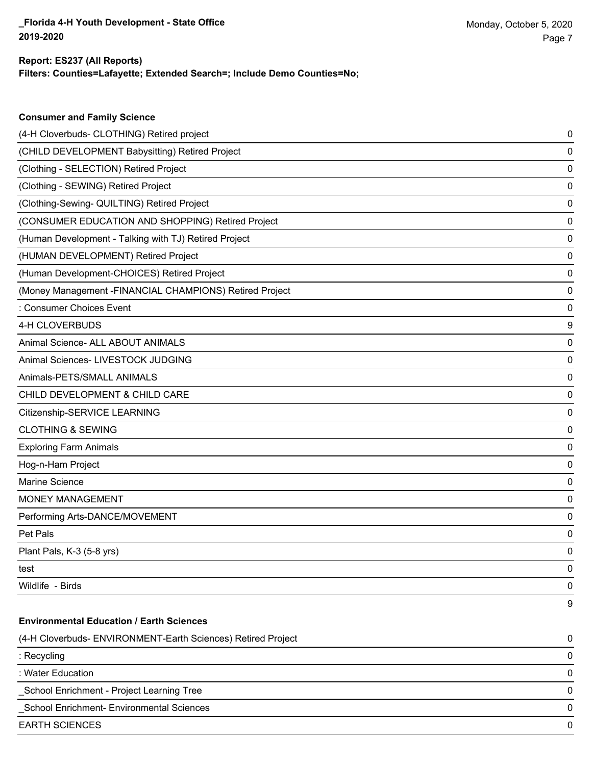#### **Filters: Counties=Lafayette; Extended Search=; Include Demo Counties=No; Report: ES237 (All Reports)**

| <b>Consumer and Family Science</b>                           |   |
|--------------------------------------------------------------|---|
| (4-H Cloverbuds- CLOTHING) Retired project                   | 0 |
| (CHILD DEVELOPMENT Babysitting) Retired Project              | 0 |
| (Clothing - SELECTION) Retired Project                       | 0 |
| (Clothing - SEWING) Retired Project                          | 0 |
| (Clothing-Sewing- QUILTING) Retired Project                  | 0 |
| (CONSUMER EDUCATION AND SHOPPING) Retired Project            | 0 |
| (Human Development - Talking with TJ) Retired Project        | 0 |
| (HUMAN DEVELOPMENT) Retired Project                          | 0 |
| (Human Development-CHOICES) Retired Project                  | 0 |
| (Money Management - FINANCIAL CHAMPIONS) Retired Project     | 0 |
| : Consumer Choices Event                                     | 0 |
| 4-H CLOVERBUDS                                               | 9 |
| Animal Science- ALL ABOUT ANIMALS                            | 0 |
| Animal Sciences- LIVESTOCK JUDGING                           | 0 |
| Animals-PETS/SMALL ANIMALS                                   | 0 |
| CHILD DEVELOPMENT & CHILD CARE                               | 0 |
| Citizenship-SERVICE LEARNING                                 | 0 |
| <b>CLOTHING &amp; SEWING</b>                                 | 0 |
| <b>Exploring Farm Animals</b>                                | 0 |
| Hog-n-Ham Project                                            | 0 |
| Marine Science                                               | 0 |
| <b>MONEY MANAGEMENT</b>                                      | 0 |
| Performing Arts-DANCE/MOVEMENT                               | 0 |
| Pet Pals                                                     | 0 |
| Plant Pals, K-3 (5-8 yrs)                                    | 0 |
| test                                                         | 0 |
| Wildlife - Birds                                             | 0 |
|                                                              | 9 |
| <b>Environmental Education / Earth Sciences</b>              |   |
| (4-H Cloverbuds- ENVIRONMENT-Earth Sciences) Retired Project | 0 |
| : Recycling                                                  | 0 |
| : Water Education                                            | 0 |
| School Enrichment - Project Learning Tree                    | 0 |
| School Enrichment- Environmental Sciences                    | 0 |
| <b>EARTH SCIENCES</b>                                        | 0 |
|                                                              |   |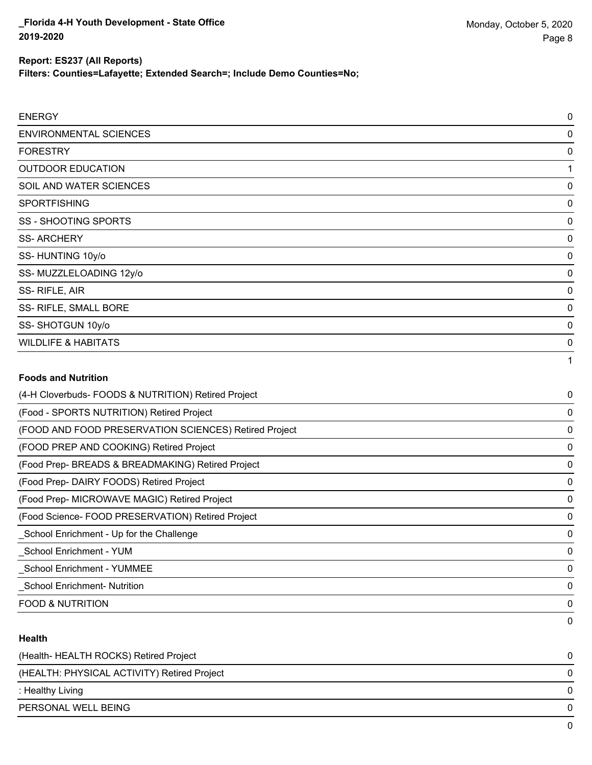**Filters: Counties=Lafayette; Extended Search=; Include Demo Counties=No;**

| <b>ENVIRONMENTAL SCIENCES</b>                       | 0 |
|-----------------------------------------------------|---|
| <b>FORESTRY</b>                                     | 0 |
| <b>OUTDOOR EDUCATION</b>                            |   |
| SOIL AND WATER SCIENCES                             | 0 |
| SPORTFISHING                                        | 0 |
| <b>SS - SHOOTING SPORTS</b>                         | 0 |
| <b>SS-ARCHERY</b>                                   | 0 |
| SS-HUNTING 10y/o                                    | 0 |
| SS-MUZZLELOADING 12y/o                              | 0 |
| SS-RIFLE, AIR                                       | 0 |
| SS- RIFLE, SMALL BORE                               | 0 |
| SS-SHOTGUN 10y/o                                    | 0 |
| <b>WILDLIFE &amp; HABITATS</b>                      | 0 |
|                                                     | 1 |
| <b>Foods and Nutrition</b>                          |   |
| (4-H Cloverbuds- FOODS & NUTRITION) Retired Project | 0 |

| ודדו טוטיטוטטט שטטט ע ויטווירן אַ טעטט ו              | ັ        |
|-------------------------------------------------------|----------|
| (Food - SPORTS NUTRITION) Retired Project             | 0        |
| (FOOD AND FOOD PRESERVATION SCIENCES) Retired Project | 0        |
| (FOOD PREP AND COOKING) Retired Project               | 0        |
| (Food Prep- BREADS & BREADMAKING) Retired Project     | 0        |
| (Food Prep-DAIRY FOODS) Retired Project               | 0        |
| (Food Prep- MICROWAVE MAGIC) Retired Project          | 0        |
| (Food Science-FOOD PRESERVATION) Retired Project      | $\Omega$ |
| _School Enrichment - Up for the Challenge             | 0        |
| School Enrichment - YUM                               | -0       |
| <b>School Enrichment - YUMMEE</b>                     | $\Omega$ |
| <b>School Enrichment-Nutrition</b>                    | 0        |
| <b>FOOD &amp; NUTRITION</b>                           | 0        |
|                                                       | 0        |

### **Health**

| (Health-HEALTH ROCKS) Retired Project       |              |
|---------------------------------------------|--------------|
| (HEALTH: PHYSICAL ACTIVITY) Retired Project | 0            |
| : Healthy Living                            | <sup>n</sup> |
| PERSONAL WELL BEING                         |              |
|                                             |              |

Page 8

Monday, October 5, 2020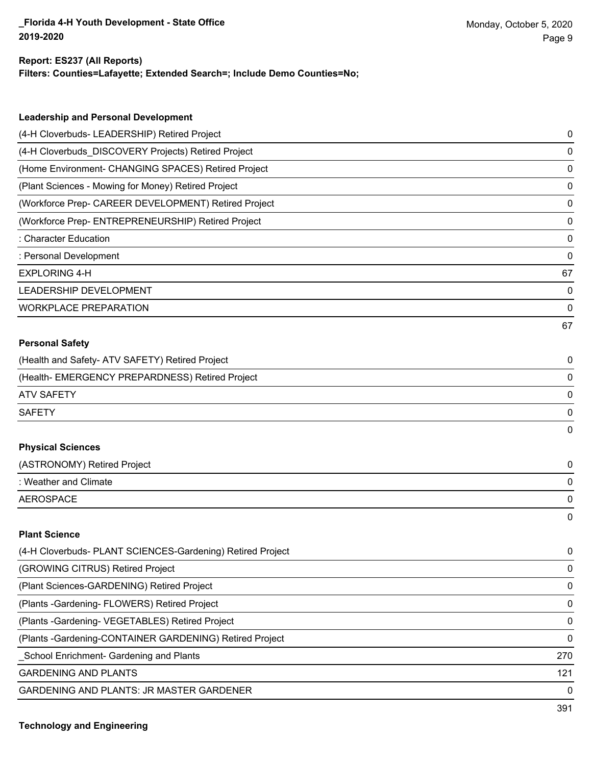## **Report: ES237 (All Reports)**

**Filters: Counties=Lafayette; Extended Search=; Include Demo Counties=No;**

| <b>Leadership and Personal Development</b>                 |    |
|------------------------------------------------------------|----|
| (4-H Cloverbuds- LEADERSHIP) Retired Project               | 0  |
| (4-H Cloverbuds_DISCOVERY Projects) Retired Project        | 0  |
| (Home Environment- CHANGING SPACES) Retired Project        | 0  |
| (Plant Sciences - Mowing for Money) Retired Project        | 0  |
| (Workforce Prep- CAREER DEVELOPMENT) Retired Project       | 0  |
| (Workforce Prep- ENTREPRENEURSHIP) Retired Project         | 0  |
| : Character Education                                      | 0  |
| : Personal Development                                     | 0  |
| <b>EXPLORING 4-H</b>                                       | 67 |
| LEADERSHIP DEVELOPMENT                                     | 0  |
| <b>WORKPLACE PREPARATION</b>                               | 0  |
|                                                            | 67 |
| <b>Personal Safety</b>                                     |    |
| (Health and Safety- ATV SAFETY) Retired Project            | 0  |
| (Health- EMERGENCY PREPARDNESS) Retired Project            | 0  |
| <b>ATV SAFETY</b>                                          | 0  |
| <b>SAFETY</b>                                              | 0  |
|                                                            | 0  |
| <b>Physical Sciences</b>                                   |    |
| (ASTRONOMY) Retired Project                                | 0  |
| : Weather and Climate                                      | 0  |
| <b>AEROSPACE</b>                                           | 0  |
|                                                            | 0  |
| <b>Plant Science</b>                                       |    |
| (4-H Cloverbuds- PLANT SCIENCES-Gardening) Retired Project | 0  |
| (GROWING CITRUS) Retired Project                           | 0  |
| (Plant Sciences-GARDENING) Retired Project                 | 0  |
| (Plants - Gardening - FLOWERS) Retired Project             | 0  |

(Plants -Gardening- VEGETABLES) Retired Project 0

(Plants -Gardening-CONTAINER GARDENING) Retired Project 0

\_School Enrichment- Gardening and Plants 270

GARDENING AND PLANTS 121

GARDENING AND PLANTS: JR MASTER GARDENER 0